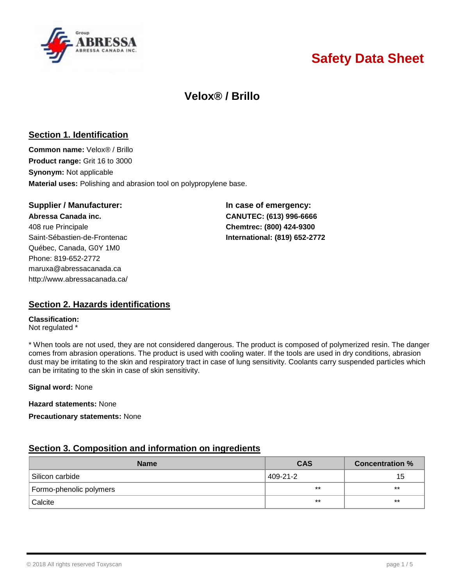

# **Safety Data Sheet**

## **Velox® / Brillo**

## **Section 1. Identification**

**Common name:** Velox® / Brillo **Product range:** Grit 16 to 3000 **Synonym:** Not applicable **Material uses:** Polishing and abrasion tool on polypropylene base.

#### **Supplier / Manufacturer: In case of emergency:**

**Abressa Canada inc. CANUTEC: (613) 996-6666** 408 rue Principale **Chemtrec: (800) 424-9300** Saint-Sébastien-de-Frontenac **International: (819) 652-2772** Québec, Canada, G0Y 1M0 Phone: 819-652-2772 [maruxa@abressacanada.ca](mailto:maruxa@abressacanada.ca) <http://www.abressacanada.ca/>

## **Section 2. Hazards identifications**

**Classification:** Not regulated \*

\* When tools are not used, they are not considered dangerous. The product is composed of polymerized resin. The danger comes from abrasion operations. The product is used with cooling water. If the tools are used in dry conditions, abrasion dust may be irritating to the skin and respiratory tract in case of lung sensitivity. Coolants carry suspended particles which can be irritating to the skin in case of skin sensitivity.

**Signal word:** None

**Hazard statements:** None

**Precautionary statements:** None

## **Section 3. Composition and information on ingredients**

| <b>Name</b>             | <b>CAS</b> | <b>Concentration %</b> |
|-------------------------|------------|------------------------|
| Silicon carbide         | 409-21-2   | 15                     |
| Formo-phenolic polymers | $***$      | $***$                  |
| Calcite                 | $***$      | $***$                  |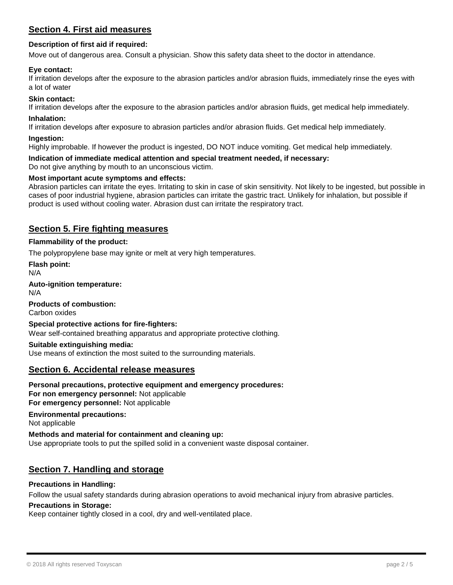## **Section 4. First aid measures**

#### **Description of first aid if required:**

Move out of dangerous area. Consult a physician. Show this safety data sheet to the doctor in attendance.

#### **Eye contact:**

If irritation develops after the exposure to the abrasion particles and/or abrasion fluids, immediately rinse the eyes with a lot of water

#### **Skin contact:**

If irritation develops after the exposure to the abrasion particles and/or abrasion fluids, get medical help immediately.

#### **Inhalation:**

If irritation develops after exposure to abrasion particles and/or abrasion fluids. Get medical help immediately.

#### **Ingestion:**

Highly improbable. If however the product is ingested, DO NOT induce vomiting. Get medical help immediately.

**Indication of immediate medical attention and special treatment needed, if necessary:**

Do not give anything by mouth to an unconscious victim.

#### **Most important acute symptoms and effects:**

Abrasion particles can irritate the eyes. Irritating to skin in case of skin sensitivity. Not likely to be ingested, but possible in cases of poor industrial hygiene, abrasion particles can irritate the gastric tract. Unlikely for inhalation, but possible if product is used without cooling water. Abrasion dust can irritate the respiratory tract.

## **Section 5. Fire fighting measures**

#### **Flammability of the product:**

The polypropylene base may ignite or melt at very high temperatures.

**Flash point:**

N/A

**Auto-ignition temperature:**

N/A

**Products of combustion:** Carbon oxides

#### **Special protective actions for fire-fighters:** Wear self-contained breathing apparatus and appropriate protective clothing.

#### **Suitable extinguishing media:** Use means of extinction the most suited to the surrounding materials.

#### **Section 6. Accidental release measures**

#### **Personal precautions, protective equipment and emergency procedures: For non emergency personnel:** Not applicable **For emergency personnel:** Not applicable

**Environmental precautions:**

Not applicable

#### **Methods and material for containment and cleaning up:**

Use appropriate tools to put the spilled solid in a convenient waste disposal container.

## **Section 7. Handling and storage**

#### **Precautions in Handling:**

Follow the usual safety standards during abrasion operations to avoid mechanical injury from abrasive particles.

#### **Precautions in Storage:**

Keep container tightly closed in a cool, dry and well-ventilated place.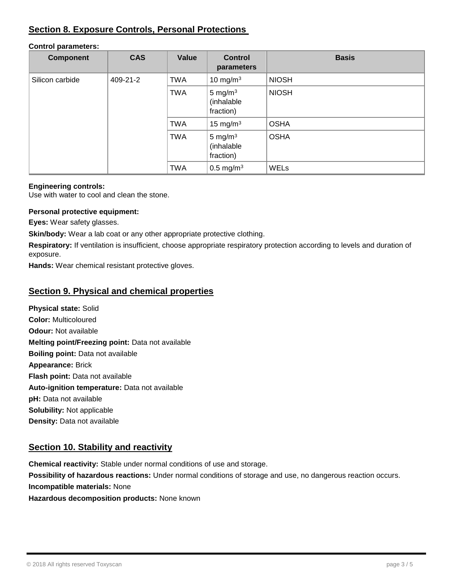## **Section 8. Exposure Controls, Personal Protections**

## **Control parameters:**

| <b>Component</b> | <b>CAS</b> | Value      | <b>Control</b><br>parameters          | <b>Basis</b> |
|------------------|------------|------------|---------------------------------------|--------------|
| Silicon carbide  | 409-21-2   | <b>TWA</b> | 10 mg/m $3$                           | <b>NIOSH</b> |
|                  |            | <b>TWA</b> | 5 mg/ $m3$<br>(inhalable<br>fraction) | <b>NIOSH</b> |
|                  |            | <b>TWA</b> | 15 mg/m $3$                           | <b>OSHA</b>  |
|                  |            | <b>TWA</b> | 5 mg/ $m3$<br>(inhalable<br>fraction) | <b>OSHA</b>  |
|                  |            | <b>TWA</b> | $0.5 \,\mathrm{mg/m^3}$               | WELs         |

#### **Engineering controls:**

Use with water to cool and clean the stone.

#### **Personal protective equipment:**

**Eyes:** Wear safety glasses.

**Skin/body:** Wear a lab coat or any other appropriate protective clothing.

**Respiratory:** If ventilation is insufficient, choose appropriate respiratory protection according to levels and duration of exposure.

**Hands:** Wear chemical resistant protective gloves.

## **Section 9. Physical and chemical properties**

**Physical state:** Solid **Color:** Multicoloured **Odour:** Not available **Melting point/Freezing point:** Data not available **Boiling point:** Data not available **Appearance:** Brick **Flash point:** Data not available **Auto-ignition temperature:** Data not available **pH:** Data not available **Solubility:** Not applicable **Density:** Data not available

## **Section 10. Stability and reactivity**

**Chemical reactivity:** Stable under normal conditions of use and storage. **Possibility of hazardous reactions:** Under normal conditions of storage and use, no dangerous reaction occurs. **Incompatible materials:** None

**Hazardous decomposition products:** None known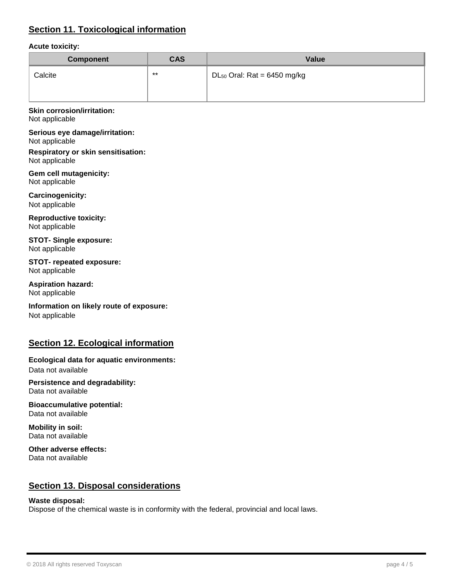## **Section 11. Toxicological information**

#### **Acute toxicity:**

| Component | <b>CAS</b> | Value                                     |
|-----------|------------|-------------------------------------------|
| Calcite   | $***$      | DL <sub>50</sub> Oral: Rat = $6450$ mg/kg |

#### **Skin corrosion/irritation:** Not applicable

**Serious eye damage/irritation:** Not applicable

**Respiratory or skin sensitisation:** Not applicable

**Gem cell mutagenicity:** Not applicable

**Carcinogenicity:** Not applicable

**Reproductive toxicity:** Not applicable

**STOT- Single exposure:** Not applicable

**STOT- repeated exposure:** Not applicable

**Aspiration hazard:** Not applicable

**Information on likely route of exposure:** Not applicable

## **Section 12. Ecological information**

**Ecological data for aquatic environments:** Data not available

**Persistence and degradability:** Data not available

**Bioaccumulative potential:** Data not available

**Mobility in soil:** Data not available

**Other adverse effects:** Data not available

## **Section 13. Disposal considerations**

#### **Waste disposal:**

Dispose of the chemical waste is in conformity with the federal, provincial and local laws.